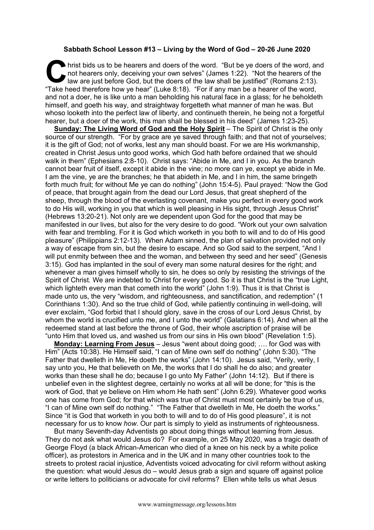## **Sabbath School Lesson #13 – Living by the Word of God – 20-26 June 2020**

hrist bids us to be hearers and doers of the word. "But be ye doers of the word, and not hearers only, deceiving your own selves" (James 1:22). "Not the hearers of the law are just before God, but the doers of the law shal not hearers only, deceiving your own selves" (James 1:22). "Not the hearers of the law are just before God, but the doers of the law shall be justified" (Romans 2:13). "Take heed therefore how ye hear" (Luke 8:18). "For if any man be a hearer of the word, and not a doer, he is like unto a man beholding his natural face in a glass; for he beholdeth himself, and goeth his way, and straightway forgetteth what manner of man he was. But whoso looketh into the perfect law of liberty, and continueth therein, he being not a forgetful hearer, but a doer of the work, this man shall be blessed in his deed" (James 1:23-25).

**Sunday: The Living Word of God and the Holy Spirit** – The Spirit of Christ is the only source of our strength. "For by grace are ye saved through faith; and that not of yourselves; it is the gift of God; not of works, lest any man should boast. For we are His workmanship, created in Christ Jesus unto good works, which God hath before ordained that we should walk in them" (Ephesians 2:8-10). Christ says: "Abide in Me, and I in you. As the branch cannot bear fruit of itself, except it abide in the vine; no more can ye, except ye abide in Me. I am the vine, ye are the branches; he that abideth in Me, and I in him, the same bringeth forth much fruit; for without Me ye can do nothing" (John 15:4-5). Paul prayed: "Now the God of peace, that brought again from the dead our Lord Jesus, that great shepherd of the sheep, through the blood of the everlasting covenant, make you perfect in every good work to do His will, working in you that which is well pleasing in His sight, through Jesus Christ" (Hebrews 13:20-21). Not only are we dependent upon God for the good that may be manifested in our lives, but also for the very desire to do good. "Work out your own salvation with fear and trembling. For it is God which worketh in you both to will and to do of His good pleasure" (Philippians 2:12-13). When Adam sinned, the plan of salvation provided not only a way of escape from sin, but the desire to escape. And so God said to the serpent, "And I will put enmity between thee and the woman, and between thy seed and her seed" (Genesis 3:15). God has implanted in the soul of every man some natural desires for the right; and whenever a man gives himself wholly to sin, he does so only by resisting the strivings of the Spirit of Christ. We are indebted to Christ for every good. So it is that Christ is the "true Light, which lighteth every man that cometh into the world" (John 1:9). Thus it is that Christ is made unto us, the very "wisdom, and righteousness, and sanctification, and redemption" (1 Corinthians 1:30). And so the true child of God, while patiently continuing in well-doing, will ever exclaim, "God forbid that I should glory, save in the cross of our Lord Jesus Christ, by whom the world is crucified unto me, and I unto the world" (Galatians 6:14). And when all the redeemed stand at last before the throne of God, their whole ascription of praise will be "unto Him that loved us, and washed us from our sins in His own blood" (Revelation 1:5).

**Monday: Learning From Jesus** – Jesus "went about doing good; …. for God was with Him" (Acts 10:38). He Himself said, "I can of Mine own self do nothing" (John 5:30). "The Father that dwelleth in Me, He doeth the works" (John 14:10). Jesus said, "Verily, verily, I say unto you, He that believeth on Me, the works that I do shall he do also; and greater works than these shall he do; because I go unto My Father" (John 14:12). But if there is unbelief even in the slightest degree, certainly no works at all will be done; for "this is the work of God, that ye believe on Him whom He hath sent" (John 6:29). Whatever good works one has come from God; for that which was true of Christ must most certainly be true of us, "I can of Mine own self do nothing." "The Father that dwelleth in Me, He doeth the works." Since "it is God that worketh in you both to will and to do of His good pleasure", it is not necessary for us to know *how*. Our part is simply to yield as instruments of righteousness.

But many Seventh-day Adventists go about doing things without learning from Jesus. They do not ask what would Jesus do? For example, on 25 May 2020, was a tragic death of George Floyd (a black African-American who died of a knee on his neck by a white police officer), as protestors in America and in the UK and in many other countries took to the streets to protest racial injustice, Adventists voiced advocating for civil reform without asking the question: what would Jesus do – would Jesus grab a sign and square off against police or write letters to politicians or advocate for civil reforms? Ellen white tells us what Jesus